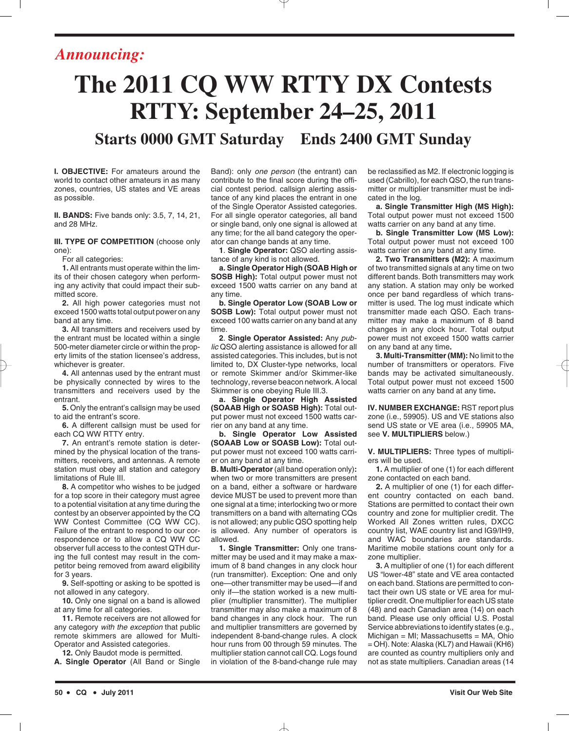## *Announcing:*

# **The 2011 CQ WW RTTY DX Contests RTTY: September 24–25, 2011 Starts 0000 GMT Saturday Ends 2400 GMT Sunday**

**I. OBJECTIVE:** For amateurs around the world to contact other amateurs in as many zones, countries, US states and VE areas as possible.

**II. BANDS:** Five bands only: 3.5, 7, 14, 21, and 28 MHz.

**III. TYPE OF COMPETITION** (choose only one):

For all categories:

**1.** All entrants must operate within the limits of their chosen category when performing any activity that could impact their submitted score.

**2.** All high power categories must not exceed 1500 watts total output power on any band at any time.

**3.** All transmitters and receivers used by the entrant must be located within a single 500-meter diameter circle or within the property limits of the station licensee's address, whichever is greater.

**4.** All antennas used by the entrant must be physically connected by wires to the transmitters and receivers used by the entrant.

**5.** Only the entrant's callsign may be used to aid the entrant's score.

**6.** A different callsign must be used for each CQ WW RTTY entry.

**7.** An entrant's remote station is determined by the physical location of the transmitters, receivers, and antennas. A remote station must obey all station and category limitations of Rule III.

**8.** A competitor who wishes to be judged for a top score in their category must agree to a potential visitation at any time during the contest by an observer appointed by the CQ WW Contest Committee (CQ WW CC). Failure of the entrant to respond to our correspondence or to allow a CQ WW CC observer full access to the contest QTH during the full contest may result in the competitor being removed from award eligibility for 3 years.

**9.** Self-spotting or asking to be spotted is not allowed in any category.

**10.** Only one signal on a band is allowed at any time for all categories.

**11.** Remote receivers are not allowed for any category *with the exception* that public remote skimmers are allowed for Multi-Operator and Assisted categories.

**12.** Only Baudot mode is permitted.

**A. Single Operator** (All Band or Single

Band): only *one person* (the entrant) can contribute to the final score during the official contest period. callsign alerting assistance of any kind places the entrant in one of the Single Operator Assisted categories. For all single operator categories, all band or single band, only one signal is allowed at any time; for the all band category the operator can change bands at any time.

**1**. **Single Operator:** QSO alerting assistance of any kind is not allowed.

**a. Single Operator High (SOAB High or SOSB High):** Total output power must not exceed 1500 watts carrier on any band at any time.

**b. Single Operator Low (SOAB Low or SOSB Low):** Total output power must not exceed 100 watts carrier on any band at any time.

**2**. **Single Operator Assisted:** Any *public* QSO alerting assistance is allowed for all assisted categories. This includes, but is not limited to, DX Cluster-type networks, local or remote Skimmer and/or Skimmer-like technology, reverse beacon network. A local Skimmer is one obeying Rule III.3.

**a. Single Operator High Assisted (SOAAB High or SOASB High):** Total output power must not exceed 1500 watts carrier on any band at any time.

**b. Single Operator Low Assisted (SOAAB Low or SOASB Low):** Total output power must not exceed 100 watts carrier on any band at any time.

**B. Multi-Operator** (all band operation only)**:** when two or more transmitters are present on a band, either a software or hardware device MUST be used to prevent more than one signal at a time; interlocking two or more transmitters on a band with alternating CQs is not allowed; any public QSO spotting help is allowed. Any number of operators is allowed.

**1. Single Transmitter:** Only one transmitter may be used and it may make a maximum of 8 band changes in any clock hour (run transmitter). Exception: One and only one—other transmitter may be used—if and only if—the station worked is a new multiplier (multiplier transmitter). The multiplier transmitter may also make a maximum of 8 band changes in any clock hour. The run and multiplier transmitters are governed by independent 8-band-change rules. A clock hour runs from 00 through 59 minutes. The multiplier station cannot call CQ. Logs found in violation of the 8-band-change rule may

be reclassified as M2. If electronic logging is used (Cabrillo), for each QSO, the run transmitter or multiplier transmitter must be indicated in the log.

**a. Single Transmitter High (MS High):** Total output power must not exceed 1500 watts carrier on any band at any time.

**b. Single Transmitter Low (MS Low):** Total output power must not exceed 100 watts carrier on any band at any time.

**2. Two Transmitters (M2):** A maximum of two transmitted signals at any time on two different bands. Both transmitters may work any station. A station may only be worked once per band regardless of which transmitter is used. The log must indicate which transmitter made each QSO. Each transmitter may make a maximum of 8 band changes in any clock hour. Total output power must not exceed 1500 watts carrier on any band at any time**.**

**3. Multi-Transmitter (MM):** No limit to the number of transmitters or operators. Five bands may be activated simultaneously. Total output power must not exceed 1500 watts carrier on any band at any time**.**

**IV. NUMBER EXCHANGE:** RST report plus zone (i.e., 59905). US and VE stations also send US state or VE area (i.e., 59905 MA, see **V. MULTIPLIERS** below.)

**V. MULTIPLIERS:** Three types of multipliers will be used.

**1.** A multiplier of one (1) for each different zone contacted on each band.

**2.** A multiplier of one (1) for each different country contacted on each band. Stations are permitted to contact their own country and zone for multiplier credit. The Worked All Zones written rules, DXCC country list, WAE country list and IG9/IH9, and WAC boundaries are standards. Maritime mobile stations count only for a zone multiplier.

**3.** A multiplier of one (1) for each different US "lower-48" state and VE area contacted on each band. Stations are permitted to contact their own US state or VE area for multiplier credit. One multiplier for each US state (48) and each Canadian area (14) on each band. Please use only official U.S. Postal Service abbreviations to identify states (e.g.,  $Michael = MI$ ; Massachusetts = MA, Ohio = OH). Note: Alaska (KL7) and Hawaii (KH6) are counted as country multipliers only and not as state multipliers. Canadian areas (14